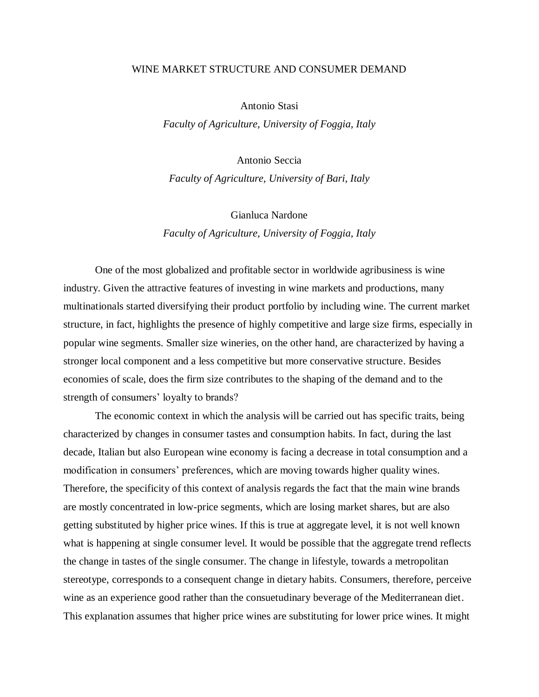## WINE MARKET STRUCTURE AND CONSUMER DEMAND

Antonio Stasi

*Faculty of Agriculture, University of Foggia, Italy*

Antonio Seccia

*Faculty of Agriculture, University of Bari, Italy*

Gianluca Nardone *Faculty of Agriculture, University of Foggia, Italy*

One of the most globalized and profitable sector in worldwide agribusiness is wine industry. Given the attractive features of investing in wine markets and productions, many multinationals started diversifying their product portfolio by including wine. The current market structure, in fact, highlights the presence of highly competitive and large size firms, especially in popular wine segments. Smaller size wineries, on the other hand, are characterized by having a stronger local component and a less competitive but more conservative structure. Besides economies of scale, does the firm size contributes to the shaping of the demand and to the strength of consumers' loyalty to brands?

The economic context in which the analysis will be carried out has specific traits, being characterized by changes in consumer tastes and consumption habits. In fact, during the last decade, Italian but also European wine economy is facing a decrease in total consumption and a modification in consumers' preferences, which are moving towards higher quality wines. Therefore, the specificity of this context of analysis regards the fact that the main wine brands are mostly concentrated in low-price segments, which are losing market shares, but are also getting substituted by higher price wines. If this is true at aggregate level, it is not well known what is happening at single consumer level. It would be possible that the aggregate trend reflects the change in tastes of the single consumer. The change in lifestyle, towards a metropolitan stereotype, corresponds to a consequent change in dietary habits. Consumers, therefore, perceive wine as an experience good rather than the consuetudinary beverage of the Mediterranean diet. This explanation assumes that higher price wines are substituting for lower price wines. It might